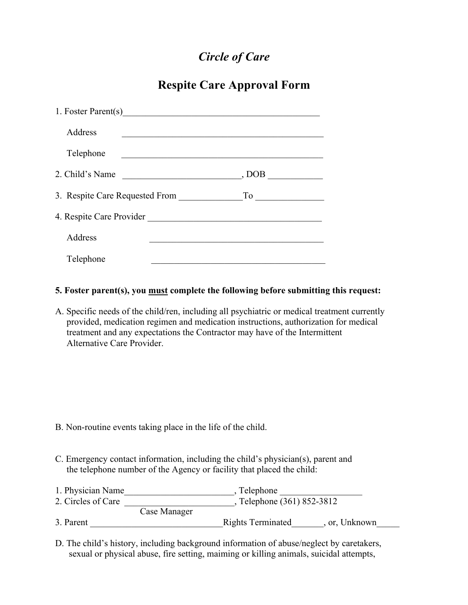# *Circle of Care*

## **Respite Care Approval Form**

| 1. Foster Parent(s)            |       |
|--------------------------------|-------|
| Address                        |       |
| Telephone                      |       |
| 2. Child's Name                | , DOB |
| 3. Respite Care Requested From |       |
| 4. Respite Care Provider       |       |
| Address                        |       |
| Telephone                      |       |

#### **5. Foster parent(s), you must complete the following before submitting this request:**

A. Specific needs of the child/ren, including all psychiatric or medical treatment currently provided, medication regimen and medication instructions, authorization for medical treatment and any expectations the Contractor may have of the Intermittent Alternative Care Provider.

- B. Non-routine events taking place in the life of the child.
- C. Emergency contact information, including the child's physician(s), parent and the telephone number of the Agency or facility that placed the child:
- 1. Physician Name \_\_\_\_\_\_\_\_\_\_\_\_\_\_\_\_\_\_\_\_\_\_\_\_\_\_\_, Telephone \_\_\_\_\_\_\_\_\_\_\_\_\_\_\_\_\_\_\_\_\_\_\_ 2. Circles of Care \_\_\_\_\_\_\_\_\_\_\_\_\_\_\_\_\_\_\_\_\_\_\_\_\_\_\_, Telephone (361) 852-3812 Case Manager 3. Parent **Example 2. Parent 2. Parent 2. Parent 2. Parent 2. Parent 2. Parent 2. Parent 2. Parent 2. Parent 2. Parent 2. Parent 2. Parent 2. Parent 2. Parent 2. Parent 2. Parent 2. Parent 2. Parent 2. Parent 2. Parent 2.**
- D. The child's history, including background information of abuse/neglect by caretakers, sexual or physical abuse, fire setting, maiming or killing animals, suicidal attempts,